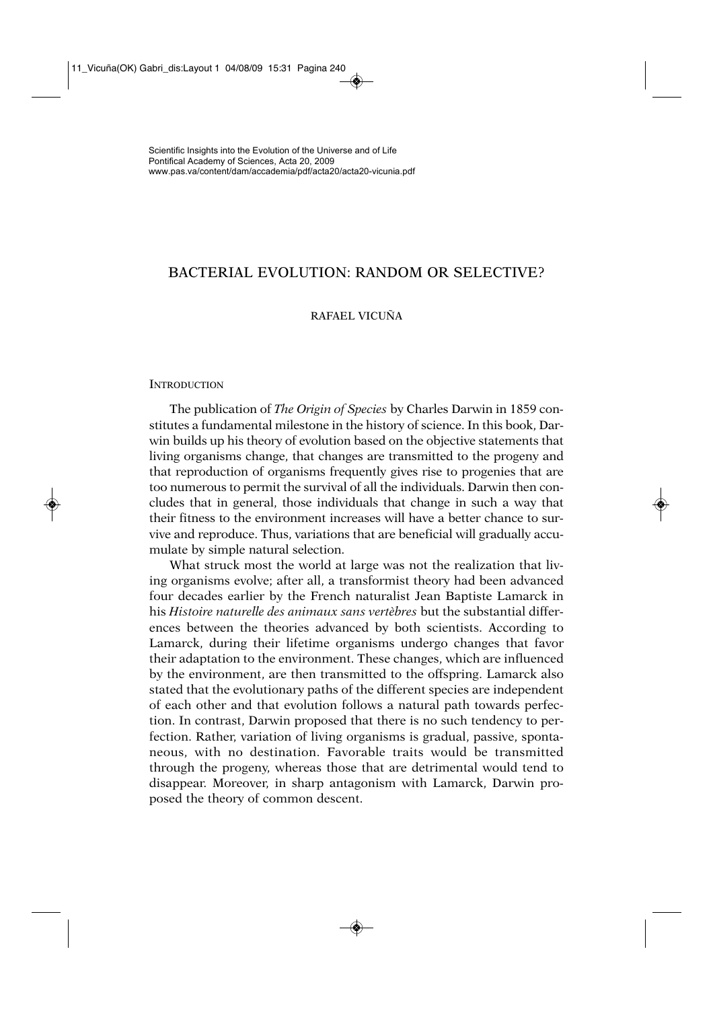# BACTERIAL EVOLUTION: RANDOM OR SELECTIVE?

# RAFAEL VICUÑA

## **INTRODUCTION**

The publication of *The Origin of Species* by Charles Darwin in 1859 constitutes a fundamental milestone in the history of science. In this book, Darwin builds up his theory of evolution based on the objective statements that living organisms change, that changes are transmitted to the progeny and that reproduction of organisms frequently gives rise to progenies that are too numerous to permit the survival of all the individuals. Darwin then concludes that in general, those individuals that change in such a way that their fitness to the environment increases will have a better chance to survive and reproduce. Thus, variations that are beneficial will gradually accumulate by simple natural selection.

What struck most the world at large was not the realization that living organisms evolve; after all, a transformist theory had been advanced four decades earlier by the French naturalist Jean Baptiste Lamarck in his *Histoire naturelle des animaux sans vertèbres* but the substantial differences between the theories advanced by both scientists. According to Lamarck, during their lifetime organisms undergo changes that favor their adaptation to the environment. These changes, which are influenced by the environment, are then transmitted to the offspring. Lamarck also stated that the evolutionary paths of the different species are independent of each other and that evolution follows a natural path towards perfection. In contrast, Darwin proposed that there is no such tendency to perfection. Rather, variation of living organisms is gradual, passive, spontaneous, with no destination. Favorable traits would be transmitted through the progeny, whereas those that are detrimental would tend to disappear. Moreover, in sharp antagonism with Lamarck, Darwin proposed the theory of common descent.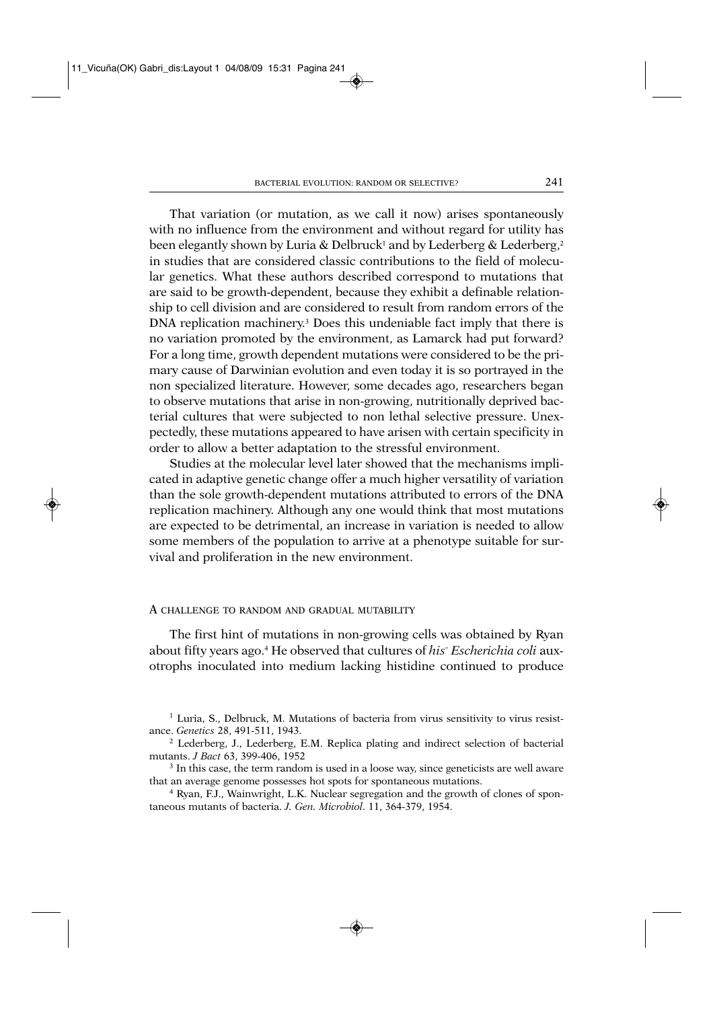That variation (or mutation, as we call it now) arises spontaneously with no influence from the environment and without regard for utility has been elegantly shown by Luria & Delbruck<sup>1</sup> and by Lederberg & Lederberg,<sup>2</sup> in studies that are considered classic contributions to the field of molecular genetics. What these authors described correspond to mutations that are said to be growth-dependent, because they exhibit a definable relationship to cell division and are considered to result from random errors of the DNA replication machinery.<sup>3</sup> Does this undeniable fact imply that there is no variation promoted by the environment, as Lamarck had put forward? For a long time, growth dependent mutations were considered to be the primary cause of Darwinian evolution and even today it is so portrayed in the non specialized literature. However, some decades ago, researchers began to observe mutations that arise in non-growing, nutritionally deprived bacterial cultures that were subjected to non lethal selective pressure. Unexpectedly, these mutations appeared to have arisen with certain specificity in order to allow a better adaptation to the stressful environment.

Studies at the molecular level later showed that the mechanisms implicated in adaptive genetic change offer a much higher versatility of variation than the sole growth-dependent mutations attributed to errors of the DNA replication machinery. Although any one would think that most mutations are expected to be detrimental, an increase in variation is needed to allow some members of the population to arrive at a phenotype suitable for survival and proliferation in the new environment.

#### A CHALLENGE TO RANDOM AND GRADUAL MUTABILITY

The first hint of mutations in non-growing cells was obtained by Ryan about fifty years ago.4 He observed that cultures of *his*- *Escherichia coli* auxotrophs inoculated into medium lacking histidine continued to produce

 $<sup>1</sup>$  Luria, S., Delbruck, M. Mutations of bacteria from virus sensitivity to virus resist-</sup> ance. *Genetics* 28, 491-511, 1943.

<sup>2</sup> Lederberg, J., Lederberg, E.M. Replica plating and indirect selection of bacterial mutants. *J Bact* 63, 399-406, 1952

<sup>&</sup>lt;sup>3</sup> In this case, the term random is used in a loose way, since geneticists are well aware that an average genome possesses hot spots for spontaneous mutations.

<sup>4</sup> Ryan, F.J., Wainwright, L.K. Nuclear segregation and the growth of clones of spontaneous mutants of bacteria. *J. Gen. Microbiol*. 11, 364-379, 1954.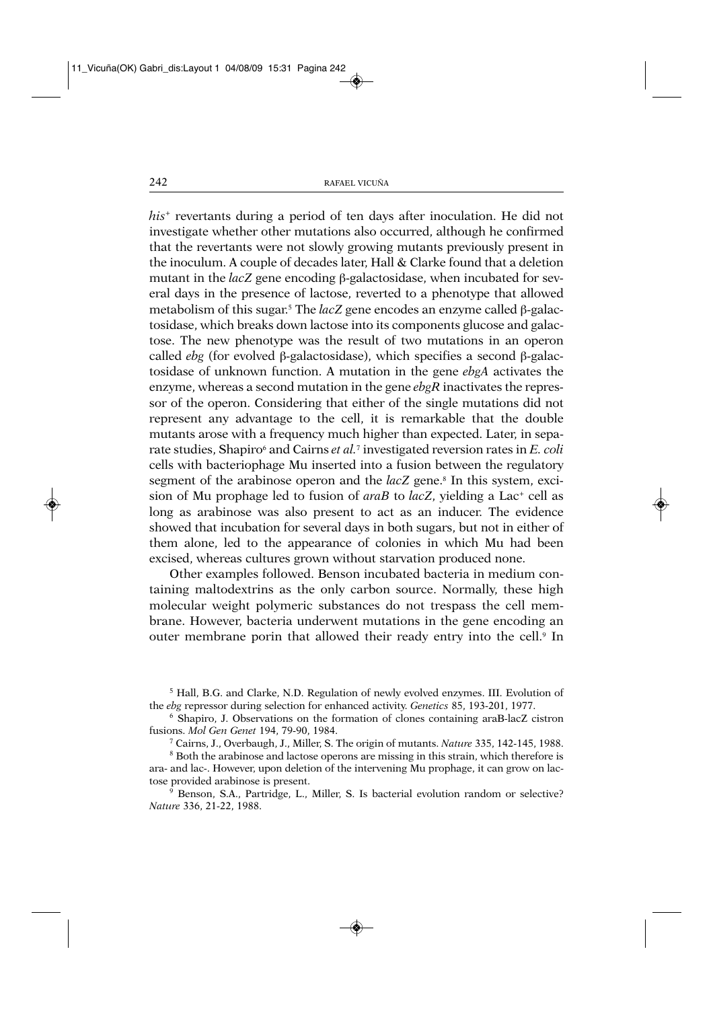*his*<sup>+</sup> revertants during a period of ten days after inoculation. He did not investigate whether other mutations also occurred, although he confirmed that the revertants were not slowly growing mutants previously present in the inoculum. A couple of decades later, Hall & Clarke found that a deletion mutant in the *lacZ* gene encoding β-galactosidase, when incubated for several days in the presence of lactose, reverted to a phenotype that allowed metabolism of this sugar.<sup>5</sup> The *lacZ* gene encodes an enzyme called β-galactosidase, which breaks down lactose into its components glucose and galactose. The new phenotype was the result of two mutations in an operon called *ebg* (for evolved β-galactosidase), which specifies a second β-galactosidase of unknown function. A mutation in the gene *ebgA* activates the enzyme, whereas a second mutation in the gene *ebgR* inactivates the repressor of the operon. Considering that either of the single mutations did not represent any advantage to the cell, it is remarkable that the double mutants arose with a frequency much higher than expected. Later, in separate studies, Shapiro<sup>6</sup> and Cairns *et al.*<sup>7</sup> investigated reversion rates in *E. coli* cells with bacteriophage Mu inserted into a fusion between the regulatory segment of the arabinose operon and the *lacZ* gene.<sup>8</sup> In this system, excision of Mu prophage led to fusion of *araB* to *lacZ*, yielding a Lac<sup>+</sup> cell as long as arabinose was also present to act as an inducer. The evidence showed that incubation for several days in both sugars, but not in either of them alone, led to the appearance of colonies in which Mu had been excised, whereas cultures grown without starvation produced none.

Other examples followed. Benson incubated bacteria in medium containing maltodextrins as the only carbon source. Normally, these high molecular weight polymeric substances do not trespass the cell membrane. However, bacteria underwent mutations in the gene encoding an outer membrane porin that allowed their ready entry into the cell.<sup>9</sup> In

<sup>5</sup> Hall, B.G. and Clarke, N.D. Regulation of newly evolved enzymes. III. Evolution of the *ebg* repressor during selection for enhanced activity. *Genetics* 85, 193-201, 1977.

<sup>6</sup> Shapiro, J. Observations on the formation of clones containing araB-lacZ cistron fusions. *Mol Gen Genet* 194, 79-90, 1984.

<sup>7</sup> Cairns, J., Overbaugh, J., Miller, S. The origin of mutants. *Nature* 335, 142-145, 1988.

<sup>8</sup> Both the arabinose and lactose operons are missing in this strain, which therefore is ara- and lac-. However, upon deletion of the intervening Mu prophage, it can grow on lactose provided arabinose is present.

<sup>9</sup> Benson, S.A., Partridge, L., Miller, S. Is bacterial evolution random or selective? *Nature* 336, 21-22, 1988.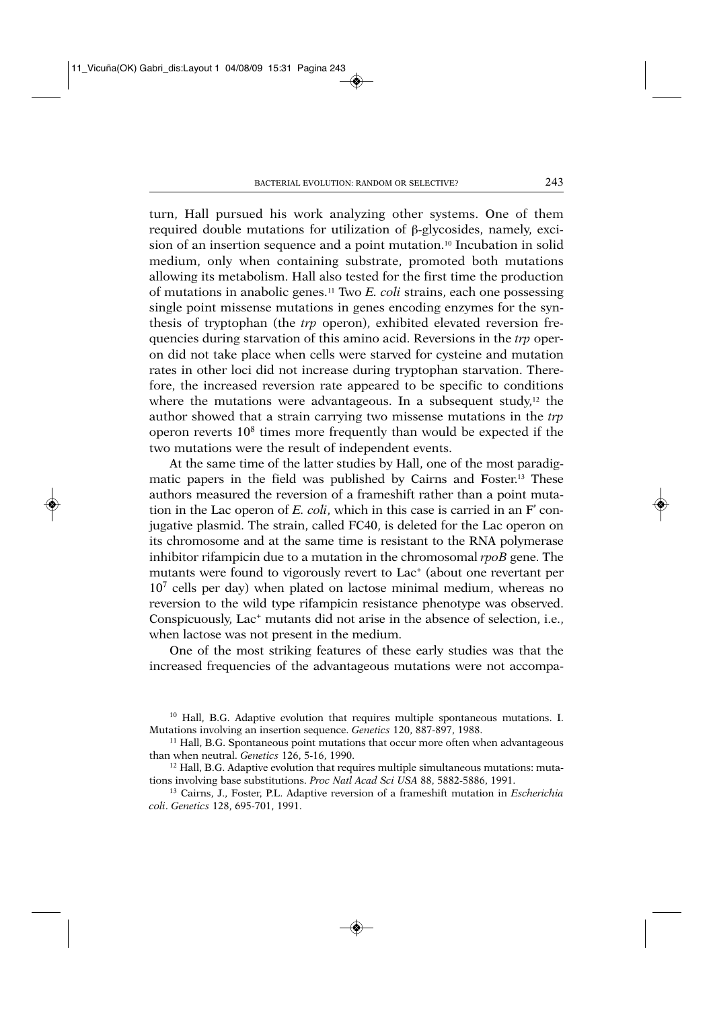turn, Hall pursued his work analyzing other systems. One of them required double mutations for utilization of β-glycosides, namely, excision of an insertion sequence and a point mutation.10 Incubation in solid medium, only when containing substrate, promoted both mutations allowing its metabolism. Hall also tested for the first time the production of mutations in anabolic genes.11 Two *E. coli* strains, each one possessing single point missense mutations in genes encoding enzymes for the synthesis of tryptophan (the *trp* operon), exhibited elevated reversion frequencies during starvation of this amino acid. Reversions in the *trp* operon did not take place when cells were starved for cysteine and mutation rates in other loci did not increase during tryptophan starvation. Therefore, the increased reversion rate appeared to be specific to conditions where the mutations were advantageous. In a subsequent study, $12$  the author showed that a strain carrying two missense mutations in the *trp* operon reverts  $10<sup>8</sup>$  times more frequently than would be expected if the two mutations were the result of independent events.

At the same time of the latter studies by Hall, one of the most paradigmatic papers in the field was published by Cairns and Foster.13 These authors measured the reversion of a frameshift rather than a point mutation in the Lac operon of *E. coli*, which in this case is carried in an F' conjugative plasmid. The strain, called FC40, is deleted for the Lac operon on its chromosome and at the same time is resistant to the RNA polymerase inhibitor rifampicin due to a mutation in the chromosomal *rpoB* gene. The mutants were found to vigorously revert to Lac<sup>+</sup> (about one revertant per  $10<sup>7</sup>$  cells per day) when plated on lactose minimal medium, whereas no reversion to the wild type rifampicin resistance phenotype was observed. Conspicuously, Lac<sup>+</sup> mutants did not arise in the absence of selection, i.e., when lactose was not present in the medium.

One of the most striking features of these early studies was that the increased frequencies of the advantageous mutations were not accompa-

<sup>10</sup> Hall, B.G. Adaptive evolution that requires multiple spontaneous mutations. I. Mutations involving an insertion sequence. *Genetics* 120, 887-897, 1988.

<sup>&</sup>lt;sup>11</sup> Hall, B.G. Spontaneous point mutations that occur more often when advantageous than when neutral. *Genetics* 126, 5-16, 1990.

 $12$  Hall, B.G. Adaptive evolution that requires multiple simultaneous mutations: mutations involving base substitutions. *Proc Natl Acad Sci USA* 88, 5882-5886, 1991.

<sup>13</sup> Cairns, J., Foster, P.L. Adaptive reversion of a frameshift mutation in *Escherichia coli*. *Genetics* 128, 695-701, 1991.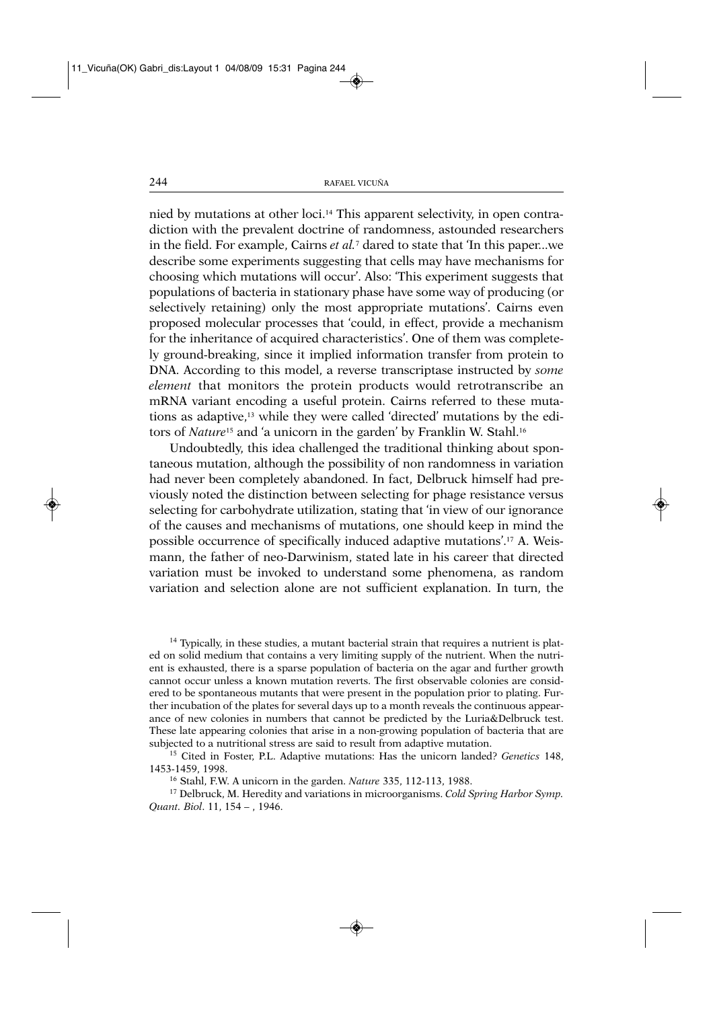nied by mutations at other loci.14 This apparent selectivity, in open contradiction with the prevalent doctrine of randomness, astounded researchers in the field. For example, Cairns *et al.*<sup>7</sup> dared to state that 'In this paper...we describe some experiments suggesting that cells may have mechanisms for choosing which mutations will occur'. Also: 'This experiment suggests that populations of bacteria in stationary phase have some way of producing (or selectively retaining) only the most appropriate mutations'. Cairns even proposed molecular processes that 'could, in effect, provide a mechanism for the inheritance of acquired characteristics'. One of them was completely ground-breaking, since it implied information transfer from protein to DNA. According to this model, a reverse transcriptase instructed by *some element* that monitors the protein products would retrotranscribe an mRNA variant encoding a useful protein. Cairns referred to these mutations as adaptive,13 while they were called 'directed' mutations by the editors of *Nature*<sup>15</sup> and 'a unicorn in the garden' by Franklin W. Stahl.16

Undoubtedly, this idea challenged the traditional thinking about spontaneous mutation, although the possibility of non randomness in variation had never been completely abandoned. In fact, Delbruck himself had previously noted the distinction between selecting for phage resistance versus selecting for carbohydrate utilization, stating that 'in view of our ignorance of the causes and mechanisms of mutations, one should keep in mind the possible occurrence of specifically induced adaptive mutations'.17 A. Weismann, the father of neo-Darwinism, stated late in his career that directed variation must be invoked to understand some phenomena, as random variation and selection alone are not sufficient explanation. In turn, the

<sup>14</sup> Typically, in these studies, a mutant bacterial strain that requires a nutrient is plated on solid medium that contains a very limiting supply of the nutrient. When the nutrient is exhausted, there is a sparse population of bacteria on the agar and further growth cannot occur unless a known mutation reverts. The first observable colonies are considered to be spontaneous mutants that were present in the population prior to plating. Further incubation of the plates for several days up to a month reveals the continuous appearance of new colonies in numbers that cannot be predicted by the Luria&Delbruck test. These late appearing colonies that arise in a non-growing population of bacteria that are subjected to a nutritional stress are said to result from adaptive mutation.

<sup>15</sup> Cited in Foster, P.L. Adaptive mutations: Has the unicorn landed? *Genetics* 148, 1453-1459, 1998.

<sup>16</sup> Stahl, F.W. A unicorn in the garden. *Nature* 335, 112-113, 1988.

<sup>17</sup> Delbruck, M. Heredity and variations in microorganisms. *Cold Spring Harbor Symp. Quant. Biol*. 11, 154 – , 1946.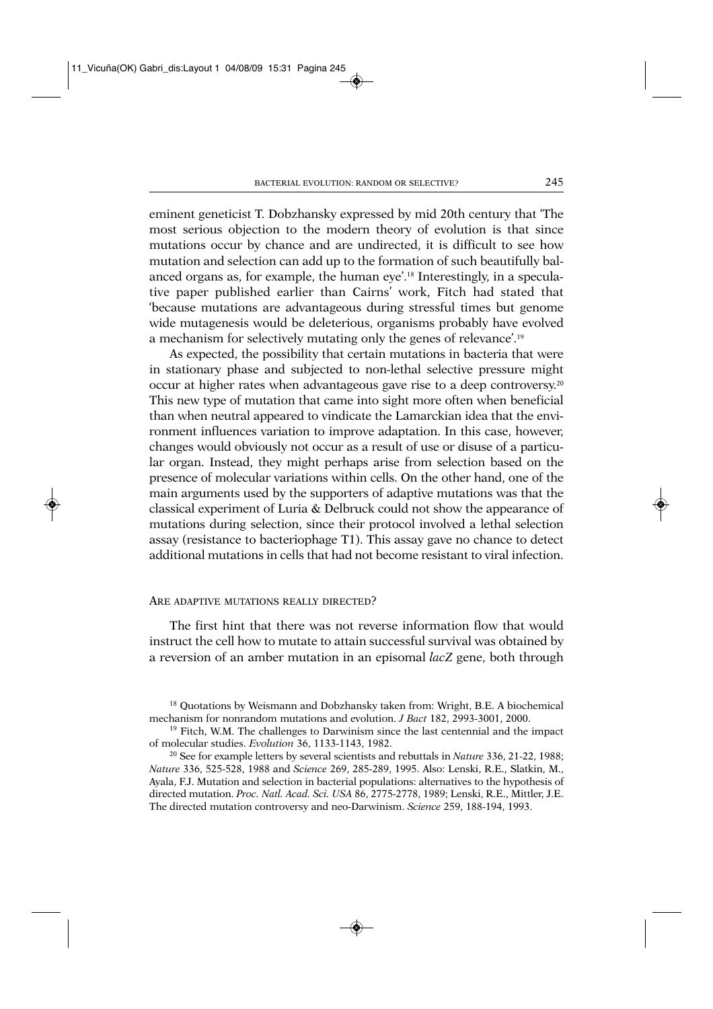eminent geneticist T. Dobzhansky expressed by mid 20th century that 'The most serious objection to the modern theory of evolution is that since mutations occur by chance and are undirected, it is difficult to see how mutation and selection can add up to the formation of such beautifully balanced organs as, for example, the human eye'.18 Interestingly, in a speculative paper published earlier than Cairns' work, Fitch had stated that 'because mutations are advantageous during stressful times but genome wide mutagenesis would be deleterious, organisms probably have evolved a mechanism for selectively mutating only the genes of relevance'.19

As expected, the possibility that certain mutations in bacteria that were in stationary phase and subjected to non-lethal selective pressure might occur at higher rates when advantageous gave rise to a deep controversy.20 This new type of mutation that came into sight more often when beneficial than when neutral appeared to vindicate the Lamarckian idea that the environment influences variation to improve adaptation. In this case, however, changes would obviously not occur as a result of use or disuse of a particular organ. Instead, they might perhaps arise from selection based on the presence of molecular variations within cells. On the other hand, one of the main arguments used by the supporters of adaptive mutations was that the classical experiment of Luria & Delbruck could not show the appearance of mutations during selection, since their protocol involved a lethal selection assay (resistance to bacteriophage T1). This assay gave no chance to detect additional mutations in cells that had not become resistant to viral infection.

### ARE ADAPTIVE MUTATIONS REALLY DIRECTED?

The first hint that there was not reverse information flow that would instruct the cell how to mutate to attain successful survival was obtained by a reversion of an amber mutation in an episomal *lacZ* gene, both through

<sup>18</sup> Quotations by Weismann and Dobzhansky taken from: Wright, B.E. A biochemical mechanism for nonrandom mutations and evolution. *J Bact* 182, 2993-3001, 2000.

 $19$  Fitch, W.M. The challenges to Darwinism since the last centennial and the impact of molecular studies. *Evolution* 36, 1133-1143, 1982.

<sup>20</sup> See for example letters by several scientists and rebuttals in *Nature* 336, 21-22, 1988; *Nature* 336, 525-528, 1988 and *Science* 269, 285-289, 1995. Also: Lenski, R.E., Slatkin, M., Ayala, F.J. Mutation and selection in bacterial populations: alternatives to the hypothesis of directed mutation. *Proc. Natl. Acad. Sci. USA* 86, 2775-2778, 1989; Lenski, R.E., Mittler, J.E. The directed mutation controversy and neo-Darwinism. *Science* 259, 188-194, 1993.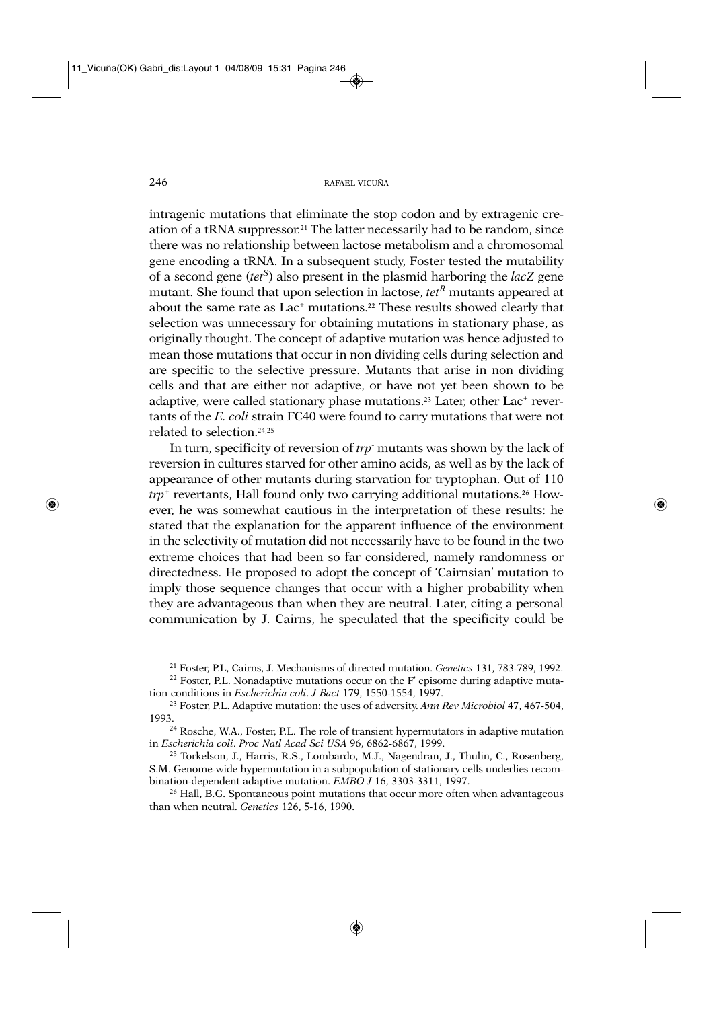intragenic mutations that eliminate the stop codon and by extragenic creation of a tRNA suppressor.21 The latter necessarily had to be random, since there was no relationship between lactose metabolism and a chromosomal gene encoding a tRNA. In a subsequent study, Foster tested the mutability of a second gene (*tetS*) also present in the plasmid harboring the *lacZ* gene mutant. She found that upon selection in lactose, *tet*<sup>R</sup> mutants appeared at about the same rate as Lac<sup>+</sup> mutations.<sup>22</sup> These results showed clearly that selection was unnecessary for obtaining mutations in stationary phase, as originally thought. The concept of adaptive mutation was hence adjusted to mean those mutations that occur in non dividing cells during selection and are specific to the selective pressure. Mutants that arise in non dividing cells and that are either not adaptive, or have not yet been shown to be adaptive, were called stationary phase mutations.<sup>23</sup> Later, other Lac<sup>+</sup> revertants of the *E. coli* strain FC40 were found to carry mutations that were not related to selection.24,25

In turn, specificity of reversion of *trp*- mutants was shown by the lack of reversion in cultures starved for other amino acids, as well as by the lack of appearance of other mutants during starvation for tryptophan. Out of 110 *trp*<sup>+</sup> revertants, Hall found only two carrying additional mutations.<sup>26</sup> However, he was somewhat cautious in the interpretation of these results: he stated that the explanation for the apparent influence of the environment in the selectivity of mutation did not necessarily have to be found in the two extreme choices that had been so far considered, namely randomness or directedness. He proposed to adopt the concept of 'Cairnsian' mutation to imply those sequence changes that occur with a higher probability when they are advantageous than when they are neutral. Later, citing a personal communication by J. Cairns, he speculated that the specificity could be

<sup>21</sup> Foster, P.L, Cairns, J. Mechanisms of directed mutation. *Genetics* 131, 783-789, 1992.

<sup>22</sup> Foster, P.L. Nonadaptive mutations occur on the F' episome during adaptive mutation conditions in *Escherichia coli*. *J Bact* 179, 1550-1554, 1997.

<sup>23</sup> Foster, P.L. Adaptive mutation: the uses of adversity. *Ann Rev Microbiol* 47, 467-504, 1993.<br><sup>24</sup> Rosche, W.A., Foster, P.L. The role of transient hypermutators in adaptive mutation

in *Escherichia coli*. *Proc Natl Acad Sci USA* 96, 6862-6867, 1999.

<sup>25</sup> Torkelson, J., Harris, R.S., Lombardo, M.J., Nagendran, J., Thulin, C., Rosenberg, S.M. Genome-wide hypermutation in a subpopulation of stationary cells underlies recombination-dependent adaptive mutation. *EMBO J* 16, 3303-3311, 1997.

<sup>26</sup> Hall, B.G. Spontaneous point mutations that occur more often when advantageous than when neutral. *Genetics* 126, 5-16, 1990.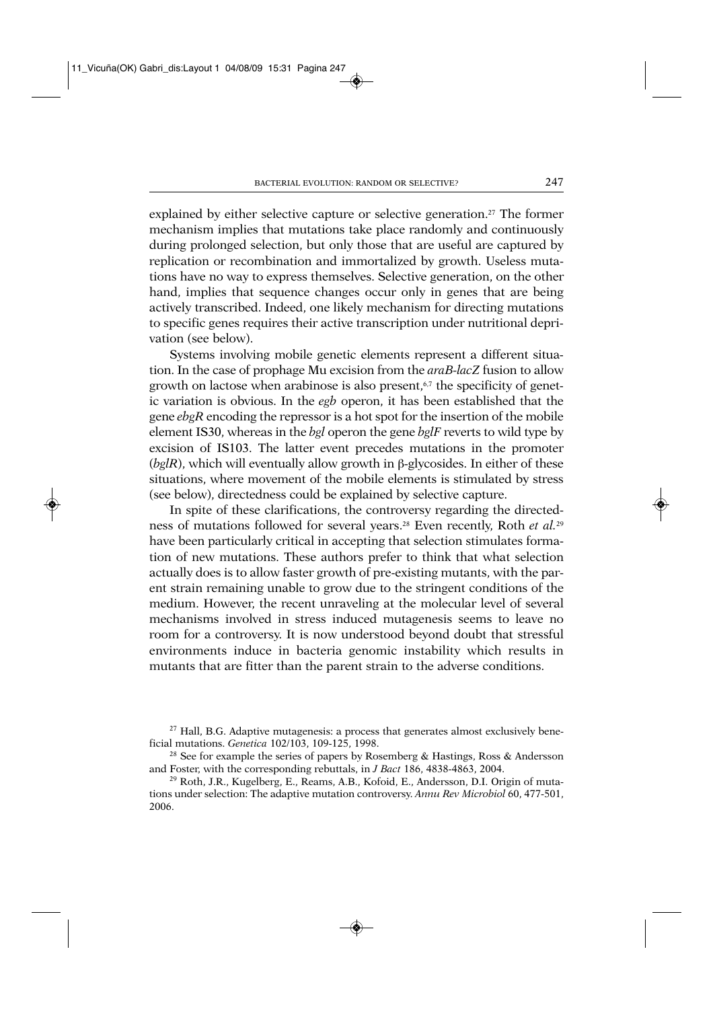explained by either selective capture or selective generation.<sup>27</sup> The former mechanism implies that mutations take place randomly and continuously during prolonged selection, but only those that are useful are captured by replication or recombination and immortalized by growth. Useless mutations have no way to express themselves. Selective generation, on the other hand, implies that sequence changes occur only in genes that are being actively transcribed. Indeed, one likely mechanism for directing mutations to specific genes requires their active transcription under nutritional deprivation (see below).

Systems involving mobile genetic elements represent a different situation. In the case of prophage Mu excision from the *araB-lacZ* fusion to allow growth on lactose when arabinose is also present, $67$  the specificity of genetic variation is obvious. In the *egb* operon, it has been established that the gene *ebgR* encoding the repressor is a hot spot for the insertion of the mobile element IS30, whereas in the *bgl* operon the gene *bglF* reverts to wild type by excision of IS103. The latter event precedes mutations in the promoter  $(bglR)$ , which will eventually allow growth in β-glycosides. In either of these situations, where movement of the mobile elements is stimulated by stress (see below), directedness could be explained by selective capture.

In spite of these clarifications, the controversy regarding the directedness of mutations followed for several years.28 Even recently, Roth *et al.*<sup>29</sup> have been particularly critical in accepting that selection stimulates formation of new mutations. These authors prefer to think that what selection actually does is to allow faster growth of pre-existing mutants, with the parent strain remaining unable to grow due to the stringent conditions of the medium. However, the recent unraveling at the molecular level of several mechanisms involved in stress induced mutagenesis seems to leave no room for a controversy. It is now understood beyond doubt that stressful environments induce in bacteria genomic instability which results in mutants that are fitter than the parent strain to the adverse conditions.

<sup>&</sup>lt;sup>27</sup> Hall, B.G. Adaptive mutagenesis: a process that generates almost exclusively beneficial mutations. *Genetica* 102/103, 109-125, 1998.

<sup>&</sup>lt;sup>28</sup> See for example the series of papers by Rosemberg & Hastings, Ross & Andersson and Foster, with the corresponding rebuttals, in *J Bact* 186, 4838-4863, 2004.

<sup>&</sup>lt;sup>29</sup> Roth, J.R., Kugelberg, E., Reams, A.B., Kofoid, E., Andersson, D.I. Origin of mutations under selection: The adaptive mutation controversy. *Annu Rev Microbiol* 60, 477-501, 2006.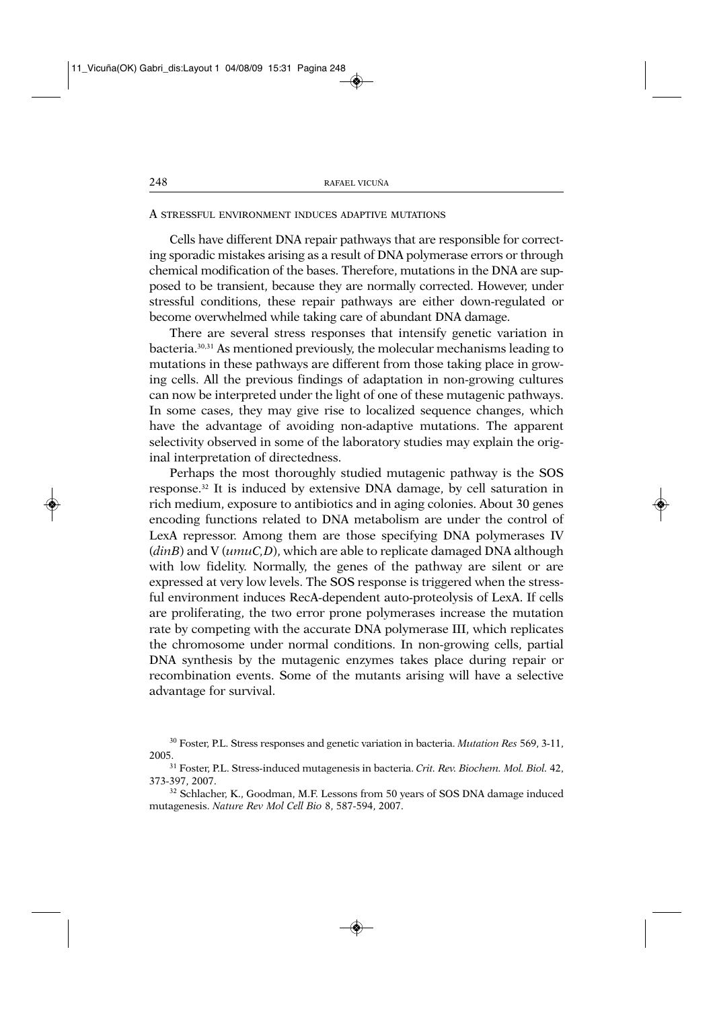## A STRESSFUL ENVIRONMENT INDUCES ADAPTIVE MUTATIONS

Cells have different DNA repair pathways that are responsible for correcting sporadic mistakes arising as a result of DNA polymerase errors or through chemical modification of the bases. Therefore, mutations in the DNA are supposed to be transient, because they are normally corrected. However, under stressful conditions, these repair pathways are either down-regulated or become overwhelmed while taking care of abundant DNA damage.

There are several stress responses that intensify genetic variation in bacteria.30,31 As mentioned previously, the molecular mechanisms leading to mutations in these pathways are different from those taking place in growing cells. All the previous findings of adaptation in non-growing cultures can now be interpreted under the light of one of these mutagenic pathways. In some cases, they may give rise to localized sequence changes, which have the advantage of avoiding non-adaptive mutations. The apparent selectivity observed in some of the laboratory studies may explain the original interpretation of directedness.

Perhaps the most thoroughly studied mutagenic pathway is the SOS response.32 It is induced by extensive DNA damage, by cell saturation in rich medium, exposure to antibiotics and in aging colonies. About 30 genes encoding functions related to DNA metabolism are under the control of LexA repressor. Among them are those specifying DNA polymerases IV (*dinB*) and V (*umuC,D*), which are able to replicate damaged DNA although with low fidelity. Normally, the genes of the pathway are silent or are expressed at very low levels. The SOS response is triggered when the stressful environment induces RecA-dependent auto-proteolysis of LexA. If cells are proliferating, the two error prone polymerases increase the mutation rate by competing with the accurate DNA polymerase III, which replicates the chromosome under normal conditions. In non-growing cells, partial DNA synthesis by the mutagenic enzymes takes place during repair or recombination events. Some of the mutants arising will have a selective advantage for survival.

<sup>30</sup> Foster, P.L. Stress responses and genetic variation in bacteria. *Mutation Res* 569, 3-11,

<sup>2005.31</sup> Foster, P.L. Stress-induced mutagenesis in bacteria. *Crit. Rev. Biochem. Mol. Biol.* 42, 373-397, 2007.

<sup>32</sup> Schlacher, K., Goodman, M.F. Lessons from 50 years of SOS DNA damage induced mutagenesis. *Nature Rev Mol Cell Bio* 8, 587-594, 2007.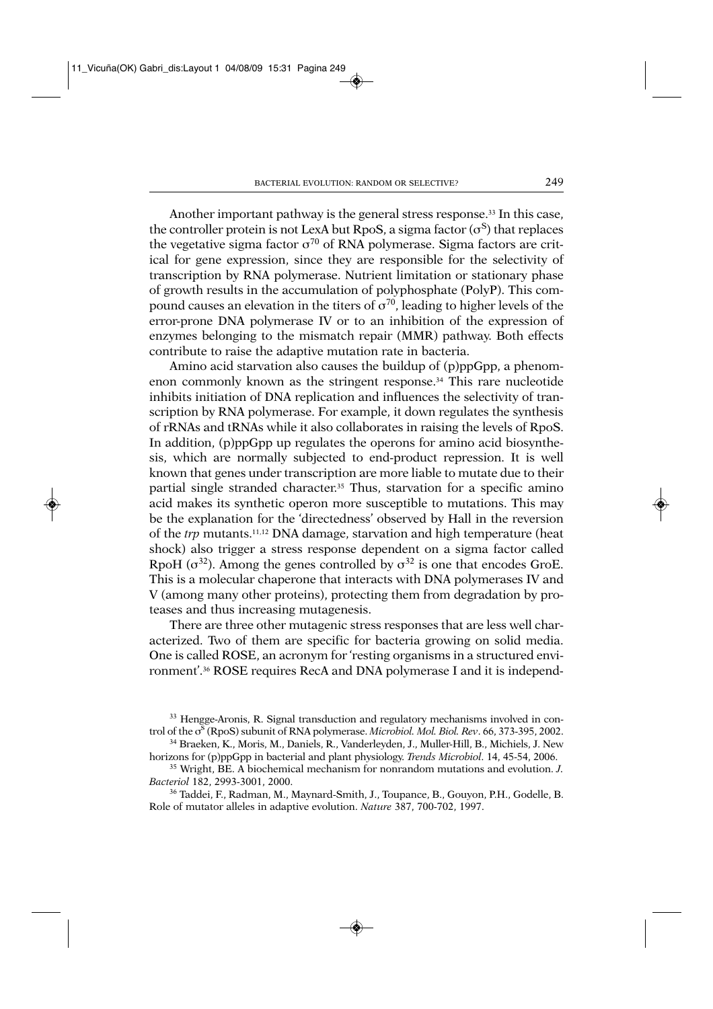Another important pathway is the general stress response.<sup>33</sup> In this case, the controller protein is not LexA but RpoS, a sigma factor  $(\sigma^S)$  that replaces the vegetative sigma factor  $\sigma^{70}$  of RNA polymerase. Sigma factors are critical for gene expression, since they are responsible for the selectivity of transcription by RNA polymerase. Nutrient limitation or stationary phase of growth results in the accumulation of polyphosphate (PolyP). This compound causes an elevation in the titers of  $\sigma^{70}$ , leading to higher levels of the error-prone DNA polymerase IV or to an inhibition of the expression of enzymes belonging to the mismatch repair (MMR) pathway. Both effects contribute to raise the adaptive mutation rate in bacteria.

Amino acid starvation also causes the buildup of (p)ppGpp, a phenomenon commonly known as the stringent response.34 This rare nucleotide inhibits initiation of DNA replication and influences the selectivity of transcription by RNA polymerase. For example, it down regulates the synthesis of rRNAs and tRNAs while it also collaborates in raising the levels of RpoS. In addition, (p)ppGpp up regulates the operons for amino acid biosynthesis, which are normally subjected to end-product repression. It is well known that genes under transcription are more liable to mutate due to their partial single stranded character.<sup>35</sup> Thus, starvation for a specific amino acid makes its synthetic operon more susceptible to mutations. This may be the explanation for the 'directedness' observed by Hall in the reversion of the *trp* mutants.11,12 DNA damage, starvation and high temperature (heat shock) also trigger a stress response dependent on a sigma factor called RpoH ( $\sigma^{32}$ ). Among the genes controlled by  $\sigma^{32}$  is one that encodes GroE. This is a molecular chaperone that interacts with DNA polymerases IV and V (among many other proteins), protecting them from degradation by proteases and thus increasing mutagenesis.

There are three other mutagenic stress responses that are less well characterized. Two of them are specific for bacteria growing on solid media. One is called ROSE, an acronym for 'resting organisms in a structured environment'.36 ROSE requires RecA and DNA polymerase I and it is independ-

<sup>33</sup> Hengge-Aronis, R. Signal transduction and regulatory mechanisms involved in control of the σ<sup>s</sup> (RpoS) subunit of RNA polymerase. *Microbiol. Mol. Biol. Rev.* 66, 373-395, 2002.

<sup>35</sup> Wright, BE. A biochemical mechanism for nonrandom mutations and evolution. *J. Bacteriol* 182, 2993-3001, 2000.

<sup>36</sup> Taddei, F., Radman, M., Maynard-Smith, J., Toupance, B., Gouyon, P.H., Godelle, B. Role of mutator alleles in adaptive evolution. *Nature* 387, 700-702, 1997.

<sup>34</sup> Braeken, K., Moris, M., Daniels, R., Vanderleyden, J., Muller-Hill, B., Michiels, J. New horizons for (p)ppGpp in bacterial and plant physiology. *Trends Microbiol*. 14, 45-54, 2006.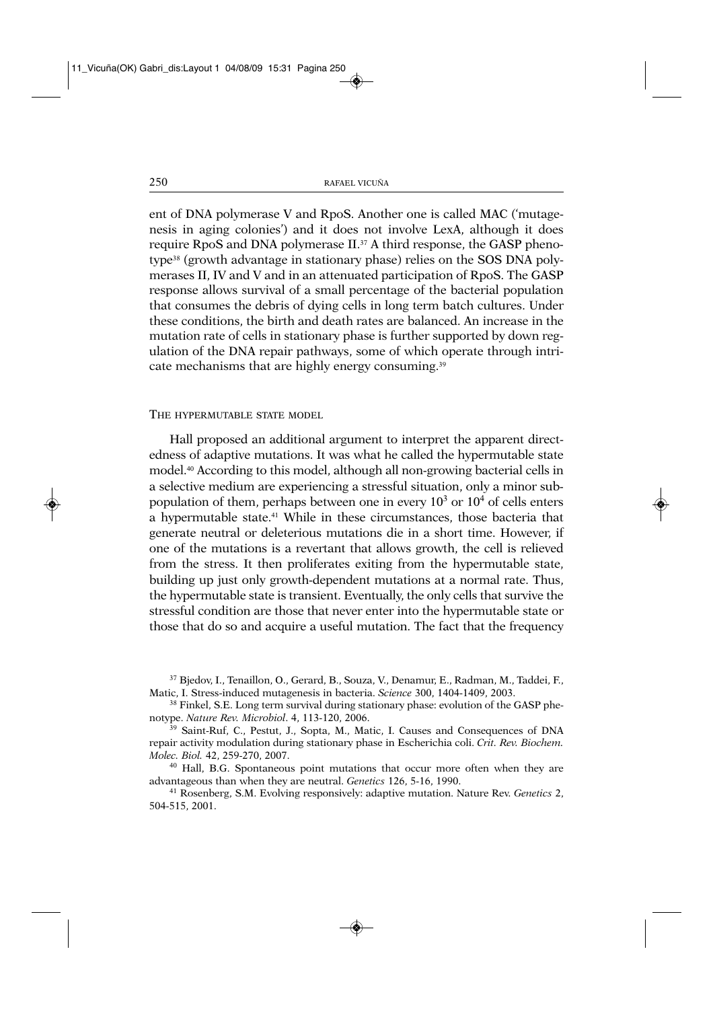ent of DNA polymerase V and RpoS. Another one is called MAC ('mutagenesis in aging colonies') and it does not involve LexA, although it does require RpoS and DNA polymerase II.37 A third response, the GASP phenotype38 (growth advantage in stationary phase) relies on the SOS DNA polymerases II, IV and V and in an attenuated participation of RpoS. The GASP response allows survival of a small percentage of the bacterial population that consumes the debris of dying cells in long term batch cultures. Under these conditions, the birth and death rates are balanced. An increase in the mutation rate of cells in stationary phase is further supported by down regulation of the DNA repair pathways, some of which operate through intricate mechanisms that are highly energy consuming.<sup>39</sup>

#### THE HYPERMUTABLE STATE MODEL

Hall proposed an additional argument to interpret the apparent directedness of adaptive mutations. It was what he called the hypermutable state model.40 According to this model, although all non-growing bacterial cells in a selective medium are experiencing a stressful situation, only a minor subpopulation of them, perhaps between one in every  $10<sup>3</sup>$  or  $10<sup>4</sup>$  of cells enters a hypermutable state.41 While in these circumstances, those bacteria that generate neutral or deleterious mutations die in a short time. However, if one of the mutations is a revertant that allows growth, the cell is relieved from the stress. It then proliferates exiting from the hypermutable state, building up just only growth-dependent mutations at a normal rate. Thus, the hypermutable state is transient. Eventually, the only cells that survive the stressful condition are those that never enter into the hypermutable state or those that do so and acquire a useful mutation. The fact that the frequency

<sup>37</sup> Bjedov, I., Tenaillon, O., Gerard, B., Souza, V., Denamur, E., Radman, M., Taddei, F., Matic, I. Stress-induced mutagenesis in bacteria. *Science* 300, 1404-1409, 2003.

<sup>&</sup>lt;sup>38</sup> Finkel, S.E. Long term survival during stationary phase: evolution of the GASP phenotype. *Nature Rev. Microbiol*. 4, 113-120, 2006.

<sup>39</sup> Saint-Ruf, C., Pestut, J., Sopta, M., Matic, I. Causes and Consequences of DNA repair activity modulation during stationary phase in Escherichia coli. *Crit. Rev. Biochem. Molec. Biol.* 42, 259-270, 2007.

<sup>40</sup> Hall, B.G. Spontaneous point mutations that occur more often when they are advantageous than when they are neutral. *Genetics* 126, 5-16, 1990.

<sup>41</sup> Rosenberg, S.M. Evolving responsively: adaptive mutation. Nature Rev. *Genetics* 2, 504-515, 2001.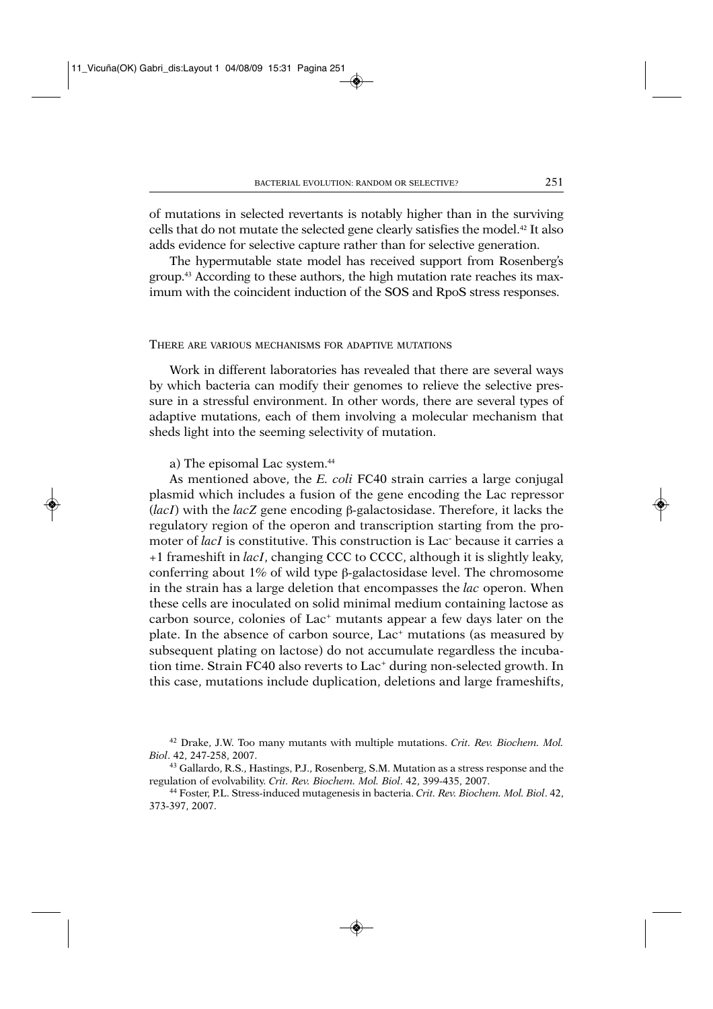of mutations in selected revertants is notably higher than in the surviving cells that do not mutate the selected gene clearly satisfies the model.42 It also adds evidence for selective capture rather than for selective generation.

The hypermutable state model has received support from Rosenberg's group.43 According to these authors, the high mutation rate reaches its maximum with the coincident induction of the SOS and RpoS stress responses.

#### THERE ARE VARIOUS MECHANISMS FOR ADAPTIVE MUTATIONS

Work in different laboratories has revealed that there are several ways by which bacteria can modify their genomes to relieve the selective pressure in a stressful environment. In other words, there are several types of adaptive mutations, each of them involving a molecular mechanism that sheds light into the seeming selectivity of mutation.

a) The episomal Lac system.<sup>44</sup>

As mentioned above, the *E. coli* FC40 strain carries a large conjugal plasmid which includes a fusion of the gene encoding the Lac repressor (*lacI*) with the *lacZ* gene encoding β-galactosidase. Therefore, it lacks the regulatory region of the operon and transcription starting from the promoter of *lacI* is constitutive. This construction is Lac- because it carries a +1 frameshift in *lacI*, changing CCC to CCCC, although it is slightly leaky, conferring about 1% of wild type β-galactosidase level. The chromosome in the strain has a large deletion that encompasses the *lac* operon. When these cells are inoculated on solid minimal medium containing lactose as carbon source, colonies of Lac<sup>+</sup> mutants appear a few days later on the plate. In the absence of carbon source, Lac<sup>+</sup> mutations (as measured by subsequent plating on lactose) do not accumulate regardless the incubation time. Strain FC40 also reverts to Lac<sup>+</sup> during non-selected growth. In this case, mutations include duplication, deletions and large frameshifts,

<sup>42</sup> Drake, J.W. Too many mutants with multiple mutations. *Crit. Rev. Biochem. Mol. Biol*. 42, 247-258, 2007.

<sup>43</sup> Gallardo, R.S., Hastings, P.J., Rosenberg, S.M. Mutation as a stress response and the regulation of evolvability. *Crit. Rev. Biochem. Mol. Biol*. 42, 399-435, 2007.

<sup>44</sup> Foster, P.L. Stress-induced mutagenesis in bacteria. *Crit. Rev. Biochem. Mol. Biol*. 42, 373-397, 2007.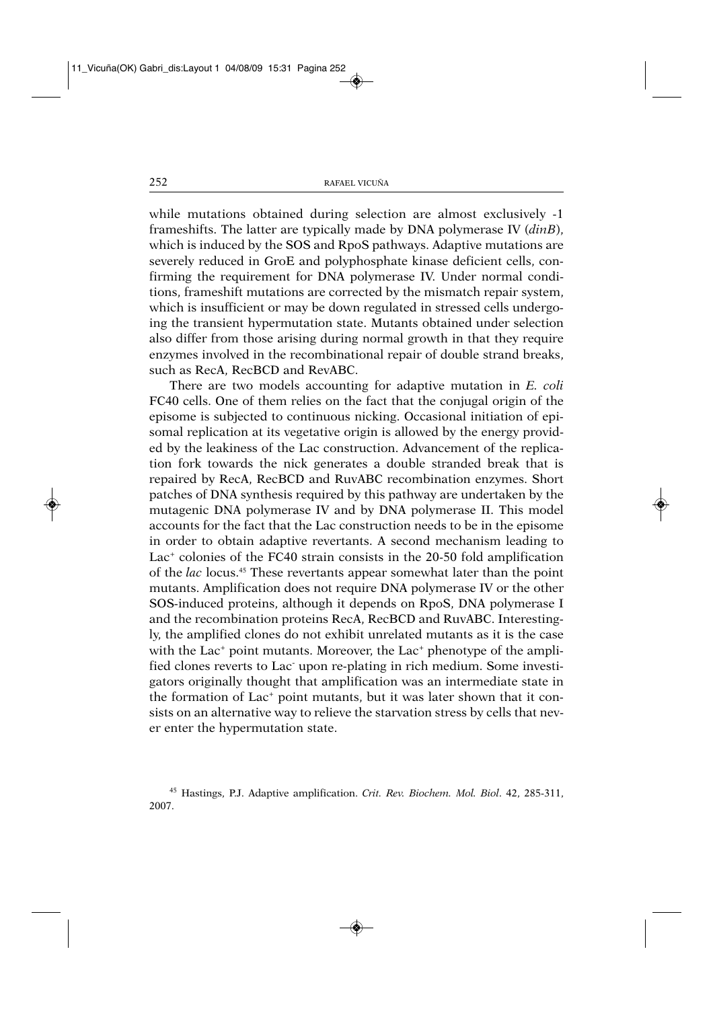while mutations obtained during selection are almost exclusively -1 frameshifts. The latter are typically made by DNA polymerase IV (*dinB*), which is induced by the SOS and RpoS pathways. Adaptive mutations are severely reduced in GroE and polyphosphate kinase deficient cells, confirming the requirement for DNA polymerase IV. Under normal conditions, frameshift mutations are corrected by the mismatch repair system, which is insufficient or may be down regulated in stressed cells undergoing the transient hypermutation state. Mutants obtained under selection also differ from those arising during normal growth in that they require enzymes involved in the recombinational repair of double strand breaks, such as RecA, RecBCD and RevABC.

There are two models accounting for adaptive mutation in *E. coli* FC40 cells. One of them relies on the fact that the conjugal origin of the episome is subjected to continuous nicking. Occasional initiation of episomal replication at its vegetative origin is allowed by the energy provided by the leakiness of the Lac construction. Advancement of the replication fork towards the nick generates a double stranded break that is repaired by RecA, RecBCD and RuvABC recombination enzymes. Short patches of DNA synthesis required by this pathway are undertaken by the mutagenic DNA polymerase IV and by DNA polymerase II. This model accounts for the fact that the Lac construction needs to be in the episome in order to obtain adaptive revertants. A second mechanism leading to Lac<sup>+</sup> colonies of the FC40 strain consists in the 20-50 fold amplification of the *lac* locus.45 These revertants appear somewhat later than the point mutants. Amplification does not require DNA polymerase IV or the other SOS-induced proteins, although it depends on RpoS, DNA polymerase I and the recombination proteins RecA, RecBCD and RuvABC. Interestingly, the amplified clones do not exhibit unrelated mutants as it is the case with the Lac<sup>+</sup> point mutants. Moreover, the Lac<sup>+</sup> phenotype of the amplified clones reverts to Lac- upon re-plating in rich medium. Some investigators originally thought that amplification was an intermediate state in the formation of Lac<sup>+</sup> point mutants, but it was later shown that it consists on an alternative way to relieve the starvation stress by cells that never enter the hypermutation state.

<sup>45</sup> Hastings, P.J. Adaptive amplification. *Crit. Rev. Biochem. Mol. Biol*. 42, 285-311, 2007.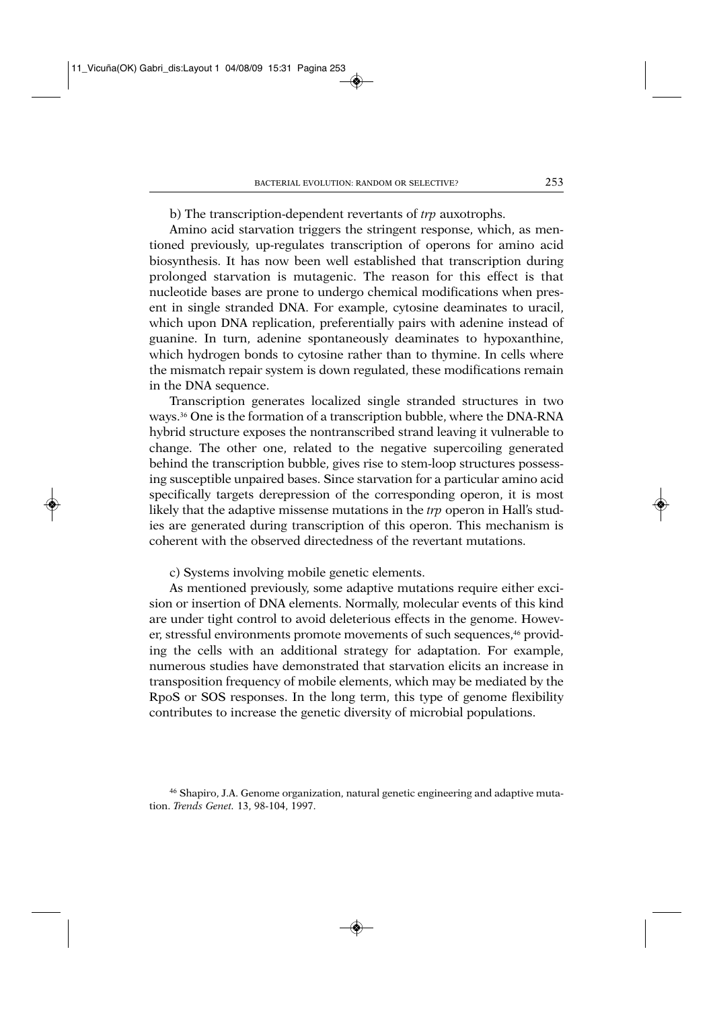b) The transcription-dependent revertants of *trp* auxotrophs.

Amino acid starvation triggers the stringent response, which, as mentioned previously, up-regulates transcription of operons for amino acid biosynthesis. It has now been well established that transcription during prolonged starvation is mutagenic. The reason for this effect is that nucleotide bases are prone to undergo chemical modifications when present in single stranded DNA. For example, cytosine deaminates to uracil, which upon DNA replication, preferentially pairs with adenine instead of guanine. In turn, adenine spontaneously deaminates to hypoxanthine, which hydrogen bonds to cytosine rather than to thymine. In cells where the mismatch repair system is down regulated, these modifications remain in the DNA sequence.

Transcription generates localized single stranded structures in two ways.36 One is the formation of a transcription bubble, where the DNA-RNA hybrid structure exposes the nontranscribed strand leaving it vulnerable to change. The other one, related to the negative supercoiling generated behind the transcription bubble, gives rise to stem-loop structures possessing susceptible unpaired bases. Since starvation for a particular amino acid specifically targets derepression of the corresponding operon, it is most likely that the adaptive missense mutations in the *trp* operon in Hall's studies are generated during transcription of this operon. This mechanism is coherent with the observed directedness of the revertant mutations.

c) Systems involving mobile genetic elements.

As mentioned previously, some adaptive mutations require either excision or insertion of DNA elements. Normally, molecular events of this kind are under tight control to avoid deleterious effects in the genome. However, stressful environments promote movements of such sequences,<sup>46</sup> providing the cells with an additional strategy for adaptation. For example, numerous studies have demonstrated that starvation elicits an increase in transposition frequency of mobile elements, which may be mediated by the RpoS or SOS responses. In the long term, this type of genome flexibility contributes to increase the genetic diversity of microbial populations.

<sup>46</sup> Shapiro, J.A. Genome organization, natural genetic engineering and adaptive mutation. *Trends Genet.* 13, 98-104, 1997.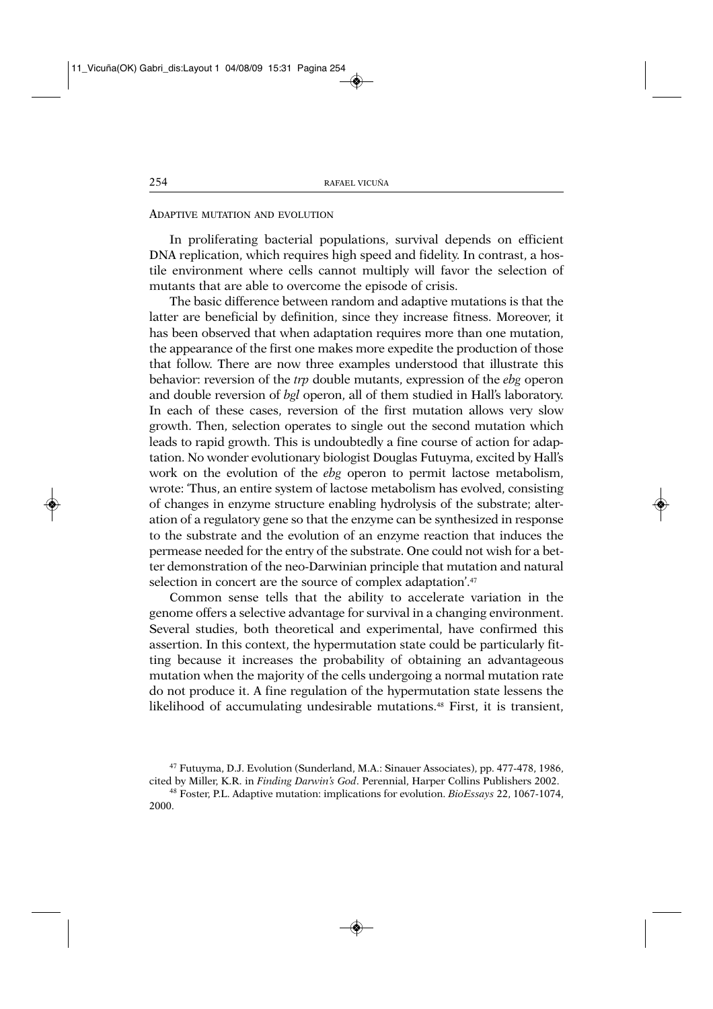## ADAPTIVE MUTATION AND EVOLUTION

In proliferating bacterial populations, survival depends on efficient DNA replication, which requires high speed and fidelity. In contrast, a hostile environment where cells cannot multiply will favor the selection of mutants that are able to overcome the episode of crisis.

The basic difference between random and adaptive mutations is that the latter are beneficial by definition, since they increase fitness. Moreover, it has been observed that when adaptation requires more than one mutation, the appearance of the first one makes more expedite the production of those that follow. There are now three examples understood that illustrate this behavior: reversion of the *trp* double mutants, expression of the *ebg* operon and double reversion of *bgl* operon, all of them studied in Hall's laboratory. In each of these cases, reversion of the first mutation allows very slow growth. Then, selection operates to single out the second mutation which leads to rapid growth. This is undoubtedly a fine course of action for adaptation. No wonder evolutionary biologist Douglas Futuyma, excited by Hall's work on the evolution of the *ebg* operon to permit lactose metabolism, wrote: 'Thus, an entire system of lactose metabolism has evolved, consisting of changes in enzyme structure enabling hydrolysis of the substrate; alteration of a regulatory gene so that the enzyme can be synthesized in response to the substrate and the evolution of an enzyme reaction that induces the permease needed for the entry of the substrate. One could not wish for a better demonstration of the neo-Darwinian principle that mutation and natural selection in concert are the source of complex adaptation'.<sup>47</sup>

Common sense tells that the ability to accelerate variation in the genome offers a selective advantage for survival in a changing environment. Several studies, both theoretical and experimental, have confirmed this assertion. In this context, the hypermutation state could be particularly fitting because it increases the probability of obtaining an advantageous mutation when the majority of the cells undergoing a normal mutation rate do not produce it. A fine regulation of the hypermutation state lessens the likelihood of accumulating undesirable mutations.48 First, it is transient,

<sup>47</sup> Futuyma, D.J. Evolution (Sunderland, M.A.: Sinauer Associates), pp. 477-478, 1986, cited by Miller, K.R. in *Finding Darwin's God*. Perennial, Harper Collins Publishers 2002.

<sup>48</sup> Foster, P.L. Adaptive mutation: implications for evolution. *BioEssays* 22, 1067-1074, 2000.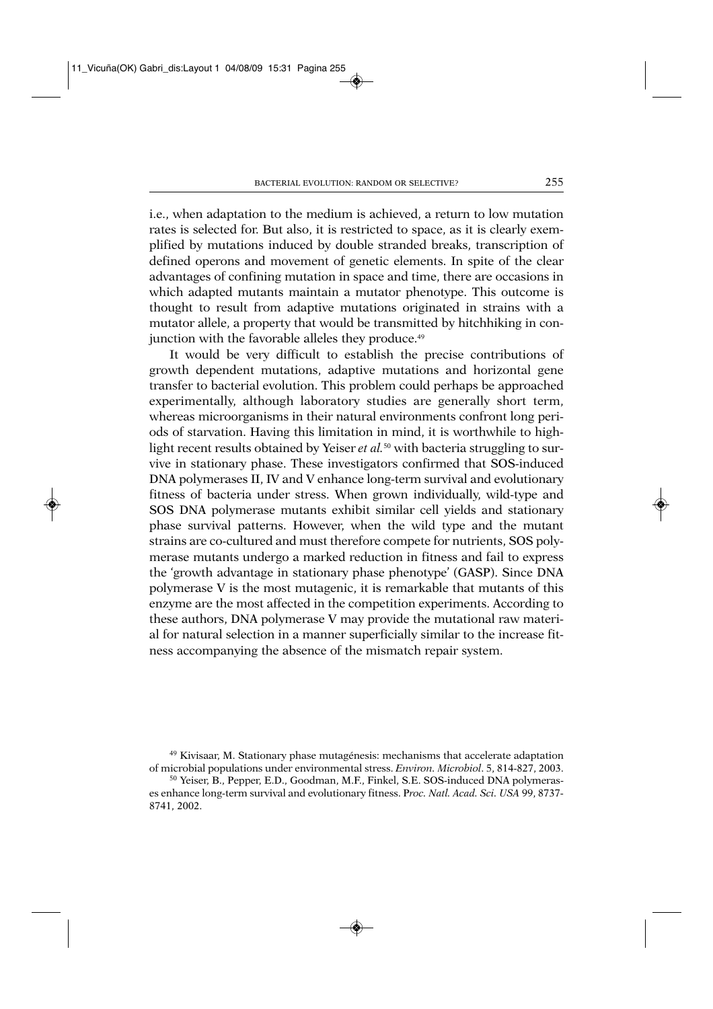i.e., when adaptation to the medium is achieved, a return to low mutation rates is selected for. But also, it is restricted to space, as it is clearly exemplified by mutations induced by double stranded breaks, transcription of defined operons and movement of genetic elements. In spite of the clear advantages of confining mutation in space and time, there are occasions in which adapted mutants maintain a mutator phenotype. This outcome is thought to result from adaptive mutations originated in strains with a mutator allele, a property that would be transmitted by hitchhiking in conjunction with the favorable alleles they produce.<sup>49</sup>

It would be very difficult to establish the precise contributions of growth dependent mutations, adaptive mutations and horizontal gene transfer to bacterial evolution. This problem could perhaps be approached experimentally, although laboratory studies are generally short term, whereas microorganisms in their natural environments confront long periods of starvation. Having this limitation in mind, it is worthwhile to highlight recent results obtained by Yeiser *et al.*<sup>50</sup> with bacteria struggling to survive in stationary phase. These investigators confirmed that SOS-induced DNA polymerases II, IV and V enhance long-term survival and evolutionary fitness of bacteria under stress. When grown individually, wild-type and SOS DNA polymerase mutants exhibit similar cell yields and stationary phase survival patterns. However, when the wild type and the mutant strains are co-cultured and must therefore compete for nutrients, SOS polymerase mutants undergo a marked reduction in fitness and fail to express the 'growth advantage in stationary phase phenotype' (GASP). Since DNA polymerase V is the most mutagenic, it is remarkable that mutants of this enzyme are the most affected in the competition experiments. According to these authors, DNA polymerase V may provide the mutational raw material for natural selection in a manner superficially similar to the increase fitness accompanying the absence of the mismatch repair system.

<sup>49</sup> Kivisaar, M. Stationary phase mutagénesis: mechanisms that accelerate adaptation of microbial populations under environmental stress. *Environ. Microbiol*. 5, 814-827, 2003.

<sup>&</sup>lt;sup>50</sup> Yeiser, B., Pepper, E.D., Goodman, M.F., Finkel, S.E. SOS-induced DNA polymerases enhance long-term survival and evolutionary fitness. P*roc. Natl. Acad. Sci. USA* 99, 8737- 8741, 2002.